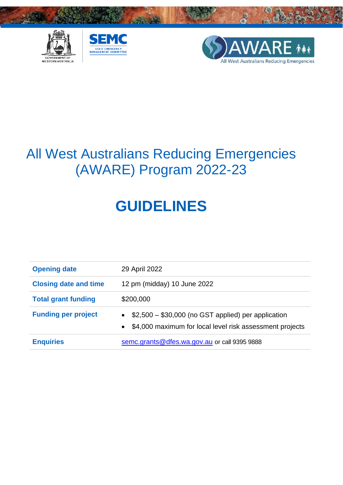





# All West Australians Reducing Emergencies (AWARE) Program 2022-23

# **GUIDELINES**

| <b>Opening date</b>          | 29 April 2022                                                                                                                          |  |
|------------------------------|----------------------------------------------------------------------------------------------------------------------------------------|--|
| <b>Closing date and time</b> | 12 pm (midday) 10 June 2022                                                                                                            |  |
| <b>Total grant funding</b>   | \$200,000                                                                                                                              |  |
| <b>Funding per project</b>   | $\bullet$ \$2,500 - \$30,000 (no GST applied) per application<br>\$4,000 maximum for local level risk assessment projects<br>$\bullet$ |  |
| <b>Enquiries</b>             | semc.grants@dfes.wa.gov.au or call 9395 9888                                                                                           |  |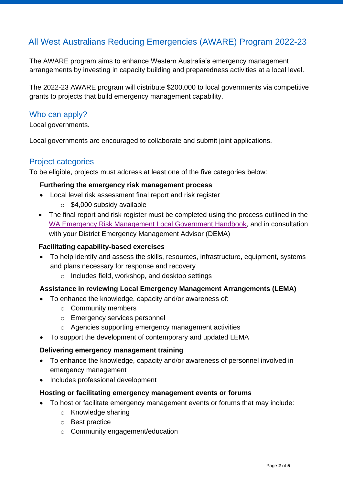# All West Australians Reducing Emergencies (AWARE) Program 2022-23

The AWARE program aims to enhance Western Australia's emergency management arrangements by investing in capacity building and preparedness activities at a local level.

The 2022-23 AWARE program will distribute \$200,000 to local governments via competitive grants to projects that build emergency management capability.

#### Who can apply?

Local governments.

Local governments are encouraged to collaborate and submit joint applications.

# Project categories

To be eligible, projects must address at least one of the five categories below:

#### **Furthering the emergency risk management process**

- Local level risk assessment final report and risk register
	- o \$4,000 subsidy available
- The final report and risk register must be completed using the process outlined in the [WA Emergency Risk Management Local Government Handbook,](https://semc.wa.gov.au/state-risk-project/risk-tools/risk-toolbox/Documents/WAERMHandbook2017.pdf) and in consultation with your District Emergency Management Advisor (DEMA)

#### **Facilitating capability-based exercises**

- To help identify and assess the skills, resources, infrastructure, equipment, systems and plans necessary for response and recovery
	- o Includes field, workshop, and desktop settings

#### **Assistance in reviewing Local Emergency Management Arrangements (LEMA)**

- To enhance the knowledge, capacity and/or awareness of:
	- o Community members
	- o Emergency services personnel
	- o Agencies supporting emergency management activities
- To support the development of contemporary and updated LEMA

#### **Delivering emergency management training**

- To enhance the knowledge, capacity and/or awareness of personnel involved in emergency management
- Includes professional development

#### **Hosting or facilitating emergency management events or forums**

- To host or facilitate emergency management events or forums that may include:
	- o Knowledge sharing
	- o Best practice
	- o Community engagement/education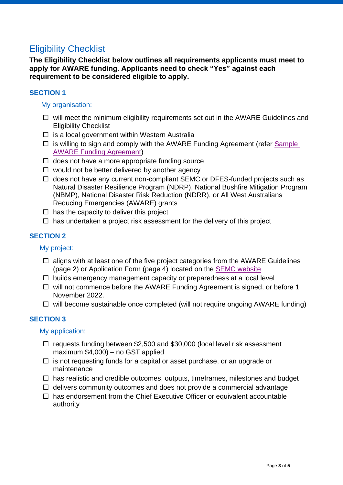# Eligibility Checklist

**The Eligibility Checklist below outlines all requirements applicants must meet to apply for AWARE funding. Applicants need to check "Yes" against each requirement to be considered eligible to apply.** 

#### **SECTION 1**

#### My organisation:

- $\Box$  will meet the minimum eligibility requirements set out in the AWARE Guidelines and Eligibility Checklist
- $\square$  is a local government within Western Australia
- $\Box$  is willing to sign and comply with the AWARE Funding Agreement (refer Sample [AWARE Funding Agreement](https://semc.wa.gov.au/funding/aware/Documents/GRANTS-AWARE-Sample-Funding-Agreement2022-2023.pdf)[\)](https://semc.wa.gov.au/funding/ndrp/Documents/2020-21%20Funding%20Agreement%20Sample.pdf)
- $\Box$  does not have a more appropriate funding source
- $\Box$  would not be better delivered by another agency
- $\Box$  does not have any current non-compliant SEMC or DFES-funded projects such as Natural Disaster Resilience Program (NDRP), National Bushfire Mitigation Program (NBMP), National Disaster Risk Reduction (NDRR), or All West Australians Reducing Emergencies (AWARE) grants
- $\Box$  has the capacity to deliver this project
- $\Box$  has undertaken a project risk assessment for the delivery of this project

#### **SECTION 2**

My project:

- $\Box$  aligns with at least one of the five project categories from the AWARE Guidelines (page 2) or Application Form (page 4) located on the [SEMC website](https://semc.wa.gov.au/funding/aware)
- $\Box$  builds emergency management capacity or preparedness at a local level
- $\Box$  will not commence before the AWARE Funding Agreement is signed, or before 1 November 2022.
- $\Box$  will become sustainable once completed (will not require ongoing AWARE funding)

#### **SECTION 3**

#### My application:

- $\Box$  requests funding between \$2,500 and \$30,000 (local level risk assessment maximum \$4,000) – no GST applied
- $\Box$  is not requesting funds for a capital or asset purchase, or an upgrade or maintenance
- $\Box$  has realistic and credible outcomes, outputs, timeframes, milestones and budget
- $\Box$  delivers community outcomes and does not provide a commercial advantage
- $\Box$  has endorsement from the Chief Executive Officer or equivalent accountable authority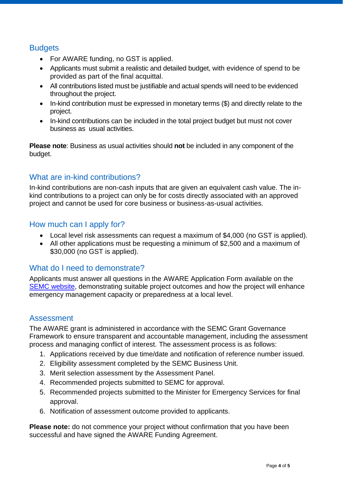# **Budgets**

- For AWARE funding, no GST is applied.
- Applicants must submit a realistic and detailed budget, with evidence of spend to be provided as part of the final acquittal.
- All contributions listed must be justifiable and actual spends will need to be evidenced throughout the project.
- In-kind contribution must be expressed in monetary terms (\$) and directly relate to the project.
- In-kind contributions can be included in the total project budget but must not cover business as usual activities.

**Please note**: Business as usual activities should **not** be included in any component of the budget.

# What are in-kind contributions?

In-kind contributions are non-cash inputs that are given an equivalent cash value. The inkind contributions to a project can only be for costs directly associated with an approved project and cannot be used for core business or business-as-usual activities.

# How much can I apply for?

- Local level risk assessments can request a maximum of \$4,000 (no GST is applied).
- All other applications must be requesting a minimum of \$2,500 and a maximum of \$30,000 (no GST is applied).

# What do I need to demonstrate?

Applicants must answer all questions in the AWARE Application Form available on the [SEMC website,](https://semc.wa.gov.au/funding/aware) demonstrating suitable project outcomes and how the project will enhance emergency management capacity or preparedness at a local level.

# Assessment

The AWARE grant is administered in accordance with the SEMC Grant Governance Framework to ensure transparent and accountable management, including the assessment process and managing conflict of interest. The assessment process is as follows:

- 1. Applications received by due time/date and notification of reference number issued.
- 2. Eligibility assessment completed by the SEMC Business Unit.
- 3. Merit selection assessment by the Assessment Panel.
- 4. Recommended projects submitted to SEMC for approval.
- 5. Recommended projects submitted to the Minister for Emergency Services for final approval.
- 6. Notification of assessment outcome provided to applicants.

**Please note:** do not commence your project without confirmation that you have been successful and have signed the AWARE Funding Agreement.